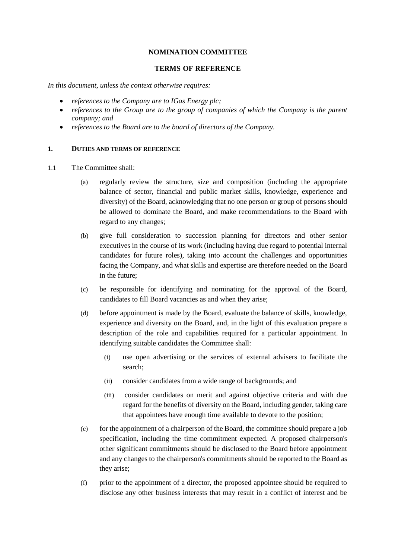#### **NOMINATION COMMITTEE**

#### **TERMS OF REFERENCE**

*In this document, unless the context otherwise requires:*

- *references to the Company are to IGas Energy plc;*
- *references to the Group are to the group of companies of which the Company is the parent company; and*
- *references to the Board are to the board of directors of the Company.*

#### **1. DUTIES AND TERMS OF REFERENCE**

- 1.1 The Committee shall:
	- (a) regularly review the structure, size and composition (including the appropriate balance of sector, financial and public market skills, knowledge, experience and diversity) of the Board, acknowledging that no one person or group of persons should be allowed to dominate the Board, and make recommendations to the Board with regard to any changes;
	- (b) give full consideration to succession planning for directors and other senior executives in the course of its work (including having due regard to potential internal candidates for future roles), taking into account the challenges and opportunities facing the Company, and what skills and expertise are therefore needed on the Board in the future;
	- (c) be responsible for identifying and nominating for the approval of the Board, candidates to fill Board vacancies as and when they arise;
	- (d) before appointment is made by the Board, evaluate the balance of skills, knowledge, experience and diversity on the Board, and, in the light of this evaluation prepare a description of the role and capabilities required for a particular appointment. In identifying suitable candidates the Committee shall:
		- (i) use open advertising or the services of external advisers to facilitate the search;
		- (ii) consider candidates from a wide range of backgrounds; and
		- (iii) consider candidates on merit and against objective criteria and with due regard for the benefits of diversity on the Board, including gender, taking care that appointees have enough time available to devote to the position;
	- (e) for the appointment of a chairperson of the Board, the committee should prepare a job specification, including the time commitment expected. A proposed chairperson's other significant commitments should be disclosed to the Board before appointment and any changes to the chairperson's commitments should be reported to the Board as they arise;
	- (f) prior to the appointment of a director, the proposed appointee should be required to disclose any other business interests that may result in a conflict of interest and be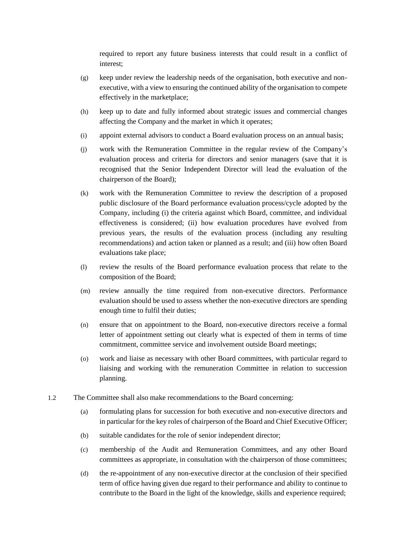required to report any future business interests that could result in a conflict of interest;

- (g) keep under review the leadership needs of the organisation, both executive and nonexecutive, with a view to ensuring the continued ability of the organisation to compete effectively in the marketplace;
- (h) keep up to date and fully informed about strategic issues and commercial changes affecting the Company and the market in which it operates;
- (i) appoint external advisors to conduct a Board evaluation process on an annual basis;
- (j) work with the Remuneration Committee in the regular review of the Company's evaluation process and criteria for directors and senior managers (save that it is recognised that the Senior Independent Director will lead the evaluation of the chairperson of the Board);
- (k) work with the Remuneration Committee to review the description of a proposed public disclosure of the Board performance evaluation process/cycle adopted by the Company, including (i) the criteria against which Board, committee, and individual effectiveness is considered; (ii) how evaluation procedures have evolved from previous years, the results of the evaluation process (including any resulting recommendations) and action taken or planned as a result; and (iii) how often Board evaluations take place;
- (l) review the results of the Board performance evaluation process that relate to the composition of the Board;
- (m) review annually the time required from non-executive directors. Performance evaluation should be used to assess whether the non-executive directors are spending enough time to fulfil their duties;
- (n) ensure that on appointment to the Board, non-executive directors receive a formal letter of appointment setting out clearly what is expected of them in terms of time commitment, committee service and involvement outside Board meetings;
- (o) work and liaise as necessary with other Board committees, with particular regard to liaising and working with the remuneration Committee in relation to succession planning.
- 1.2 The Committee shall also make recommendations to the Board concerning:
	- (a) formulating plans for succession for both executive and non-executive directors and in particular for the key roles of chairperson of the Board and Chief Executive Officer;
	- (b) suitable candidates for the role of senior independent director;
	- (c) membership of the Audit and Remuneration Committees, and any other Board committees as appropriate, in consultation with the chairperson of those committees;
	- (d) the re-appointment of any non-executive director at the conclusion of their specified term of office having given due regard to their performance and ability to continue to contribute to the Board in the light of the knowledge, skills and experience required;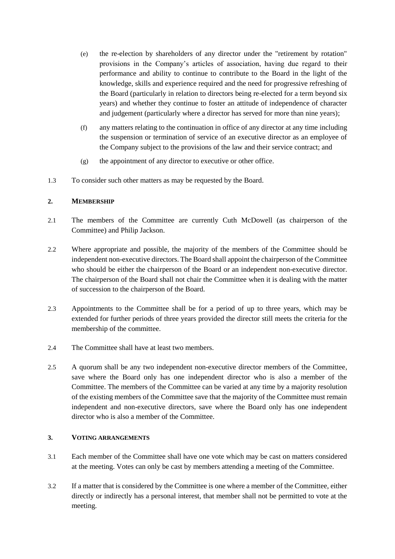- (e) the re-election by shareholders of any director under the "retirement by rotation" provisions in the Company's articles of association, having due regard to their performance and ability to continue to contribute to the Board in the light of the knowledge, skills and experience required and the need for progressive refreshing of the Board (particularly in relation to directors being re-elected for a term beyond six years) and whether they continue to foster an attitude of independence of character and judgement (particularly where a director has served for more than nine years);
- (f) any matters relating to the continuation in office of any director at any time including the suspension or termination of service of an executive director as an employee of the Company subject to the provisions of the law and their service contract; and
- (g) the appointment of any director to executive or other office.
- 1.3 To consider such other matters as may be requested by the Board.

# **2. MEMBERSHIP**

- 2.1 The members of the Committee are currently Cuth McDowell (as chairperson of the Committee) and Philip Jackson.
- 2.2 Where appropriate and possible, the majority of the members of the Committee should be independent non-executive directors. The Board shall appoint the chairperson of the Committee who should be either the chairperson of the Board or an independent non-executive director. The chairperson of the Board shall not chair the Committee when it is dealing with the matter of succession to the chairperson of the Board.
- 2.3 Appointments to the Committee shall be for a period of up to three years, which may be extended for further periods of three years provided the director still meets the criteria for the membership of the committee.
- 2.4 The Committee shall have at least two members.
- 2.5 A quorum shall be any two independent non-executive director members of the Committee, save where the Board only has one independent director who is also a member of the Committee. The members of the Committee can be varied at any time by a majority resolution of the existing members of the Committee save that the majority of the Committee must remain independent and non-executive directors, save where the Board only has one independent director who is also a member of the Committee.

## **3. VOTING ARRANGEMENTS**

- 3.1 Each member of the Committee shall have one vote which may be cast on matters considered at the meeting. Votes can only be cast by members attending a meeting of the Committee.
- 3.2 If a matter that is considered by the Committee is one where a member of the Committee, either directly or indirectly has a personal interest, that member shall not be permitted to vote at the meeting.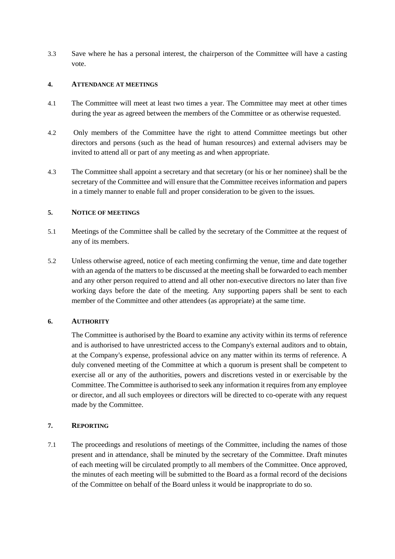3.3 Save where he has a personal interest, the chairperson of the Committee will have a casting vote.

#### **4. ATTENDANCE AT MEETINGS**

- 4.1 The Committee will meet at least two times a year. The Committee may meet at other times during the year as agreed between the members of the Committee or as otherwise requested.
- 4.2 Only members of the Committee have the right to attend Committee meetings but other directors and persons (such as the head of human resources) and external advisers may be invited to attend all or part of any meeting as and when appropriate.
- 4.3 The Committee shall appoint a secretary and that secretary (or his or her nominee) shall be the secretary of the Committee and will ensure that the Committee receives information and papers in a timely manner to enable full and proper consideration to be given to the issues.

### **5. NOTICE OF MEETINGS**

- 5.1 Meetings of the Committee shall be called by the secretary of the Committee at the request of any of its members.
- 5.2 Unless otherwise agreed, notice of each meeting confirming the venue, time and date together with an agenda of the matters to be discussed at the meeting shall be forwarded to each member and any other person required to attend and all other non-executive directors no later than five working days before the date of the meeting. Any supporting papers shall be sent to each member of the Committee and other attendees (as appropriate) at the same time.

## **6. AUTHORITY**

The Committee is authorised by the Board to examine any activity within its terms of reference and is authorised to have unrestricted access to the Company's external auditors and to obtain, at the Company's expense, professional advice on any matter within its terms of reference. A duly convened meeting of the Committee at which a quorum is present shall be competent to exercise all or any of the authorities, powers and discretions vested in or exercisable by the Committee. The Committee is authorised to seek any information it requires from any employee or director, and all such employees or directors will be directed to co-operate with any request made by the Committee.

#### **7. REPORTING**

7.1 The proceedings and resolutions of meetings of the Committee, including the names of those present and in attendance, shall be minuted by the secretary of the Committee. Draft minutes of each meeting will be circulated promptly to all members of the Committee. Once approved, the minutes of each meeting will be submitted to the Board as a formal record of the decisions of the Committee on behalf of the Board unless it would be inappropriate to do so.